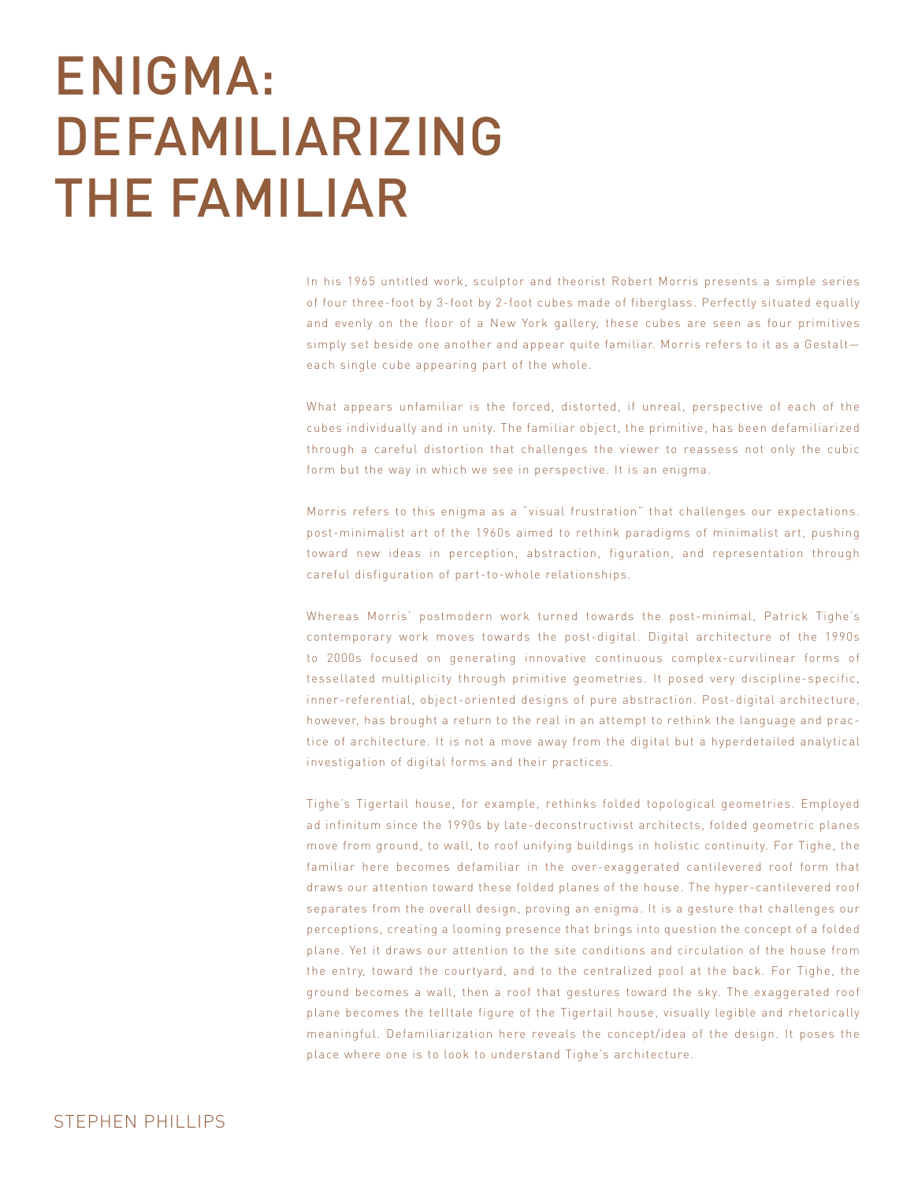## ENIGMA: DEFAMILIARIZING THE FAMILIAR

In his 1965 untitled work, sculptor and theorist Robert Morris presents a simple series of four three-foot by 3-foot by 2-foot cubes made of fiberglass. Perfectly situated equally and evenly on the floor of a New York gallery, these cubes are seen as four primitives simply set beside one another and appear quite familiar. Morris refers to it as a Gestalt each single cube appearing part of the whole.

What appears unfamiliar is the forced, distorted, if unreal, perspective of each of the cubes individually and in unity. The familiar object, the primitive, has been defamiliarized through a careful distortion that challenges the viewer to reassess not only the cubic form but the way in which we see in perspective. It is an enigma.

Morris refers to this enigma as a "visual frustration" that challenges our expectations. post-minimalist art of the 1960s aimed to rethink paradigms of minimalist art, pushing toward new ideas in perception, abstraction, figuration, and representation through careful disfiguration of part-to-whole relationships.

Whereas Morris' postmodern work turned towards the post-minimal, Patrick Tighe's contemporary work moves towards the post-digital. Digital architecture of the 1990s to 2000s focused on generating innovative continuous complex-curvilinear forms of tessellated multiplicity through primitive geometries. It posed very discipline-specific, inner-referential, object-oriented designs of pure abstraction. Post-digital architecture, however, has brought a return to the real in an attempt to rethink the language and practice of architecture. It is not a move away from the digital but a hyperdetailed analytical investigation of digital forms and their practices.

Tighe's Tigertail house, for example, rethinks folded topological geometries. Employed ad infinitum since the 1990s by late-deconstructivist architects, folded geometric planes move from ground, to wall, to roof unifying buildings in holistic continuity. For Tighe, the familiar here becomes defamiliar in the over-exaggerated cantilevered roof form that draws our attention toward these folded planes of the house. The hyper-cantilevered roof separates from the overall design, proving an enigma. It is a gesture that challenges our perceptions, creating a looming presence that brings into question the concept of a folded plane. Yet it draws our attention to the site conditions and circulation of the house from the entry, toward the courtyard, and to the centralized pool at the back. For Tighe, the ground becomes a wall, then a roof that gestures toward the sky. The exaggerated roof plane becomes the telltale figure of the Tigertail house, visually legible and rhetorically meaningful. Defamiliarization here reveals the concept/idea of the design. It poses the place where one is to look to understand Tighe's architecture.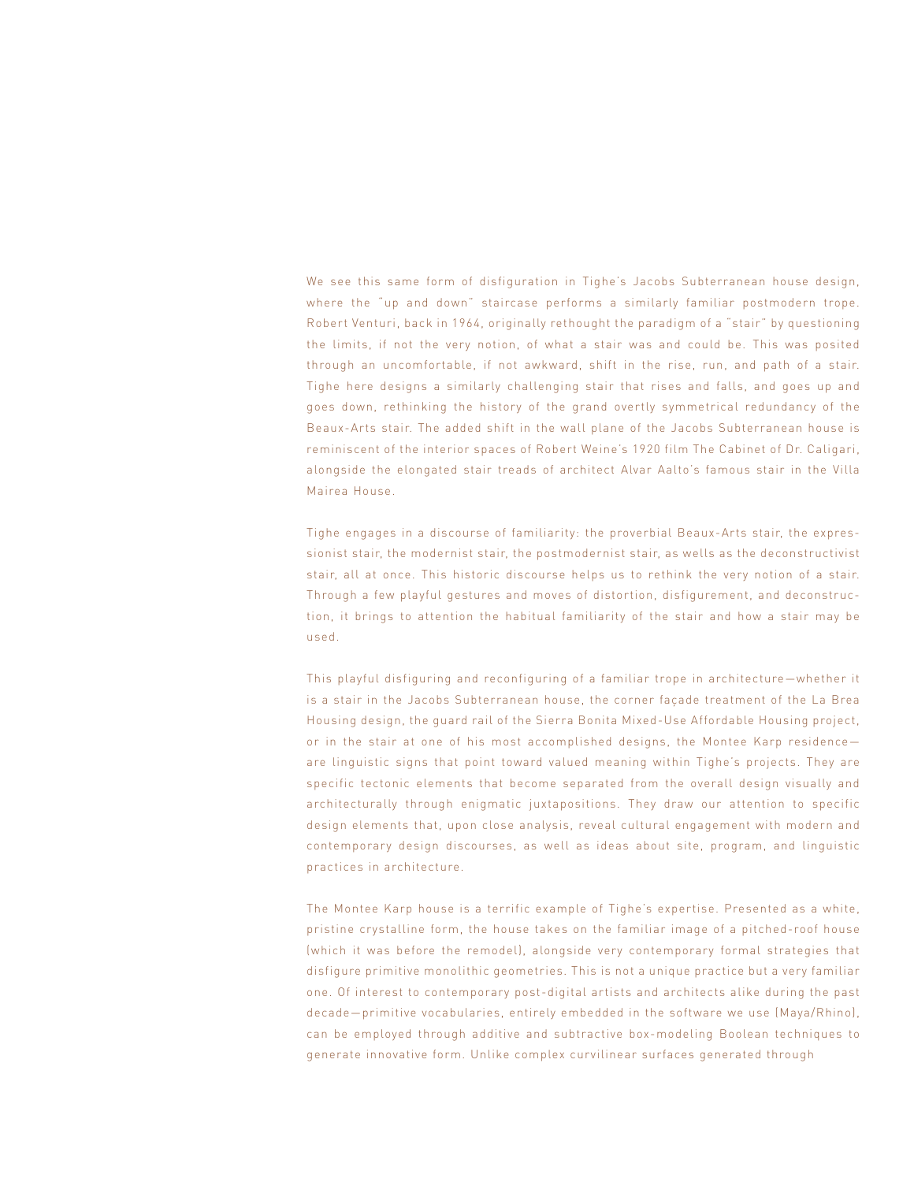We see this same form of disfiguration in Tighe's Jacobs Subterranean house design, where the "up and down" staircase performs a similarly familiar postmodern trope. Robert Venturi, back in 1964, originally rethought the paradigm of a "stair" by questioning the limits, if not the very notion, of what a stair was and could be. This was posited through an uncomfortable, if not awkward, shift in the rise, run, and path of a stair. Tighe here designs a similarly challenging stair that rises and falls, and goes up and goes down, rethinking the history of the grand overtly symmetrical redundancy of the Beaux-Arts stair. The added shift in the wall plane of the Jacobs Subterranean house is reminiscent of the interior spaces of Robert Weine's 1920 film The Cabinet of Dr. Caligari, alongside the elongated stair treads of architect Alvar Aalto's famous stair in the Villa Mairea House.

Tighe engages in a discourse of familiarity: the proverbial Beaux-Arts stair, the expressionist stair, the modernist stair, the postmodernist stair, as wells as the deconstructivist stair, all at once. This historic discourse helps us to rethink the very notion of a stair. Through a few playful gestures and moves of distortion, disfigurement, and deconstruction, it brings to attention the habitual familiarity of the stair and how a stair may be used.

This playful disfiguring and reconfiguring of a familiar trope in architecture—whether it is a stair in the Jacobs Subterranean house, the corner façade treatment of the La Brea Housing design, the guard rail of the Sierra Bonita Mixed-Use Affordable Housing project, or in the stair at one of his most accomplished designs, the Montee Karp residence are linguistic signs that point toward valued meaning within Tighe's projects. They are specific tectonic elements that become separated from the overall design visually and architecturally through enigmatic juxtapositions. They draw our attention to specific design elements that, upon close analysis, reveal cultural engagement with modern and contemporary design discourses, as well as ideas about site, program, and linguistic practices in architecture.

The Montee Karp house is a terrific example of Tighe's expertise. Presented as a white, pristine crystalline form, the house takes on the familiar image of a pitched-roof house (which it was before the remodel), alongside very contemporary formal strategies that disfigure primitive monolithic geometries. This is not a unique practice but a very familiar one. Of interest to contemporary post-digital artists and architects alike during the past decade—primitive vocabularies, entirely embedded in the software we use (Maya/Rhino), can be employed through additive and subtractive box-modeling Boolean techniques to generate innovative form. Unlike complex curvilinear surfaces generated through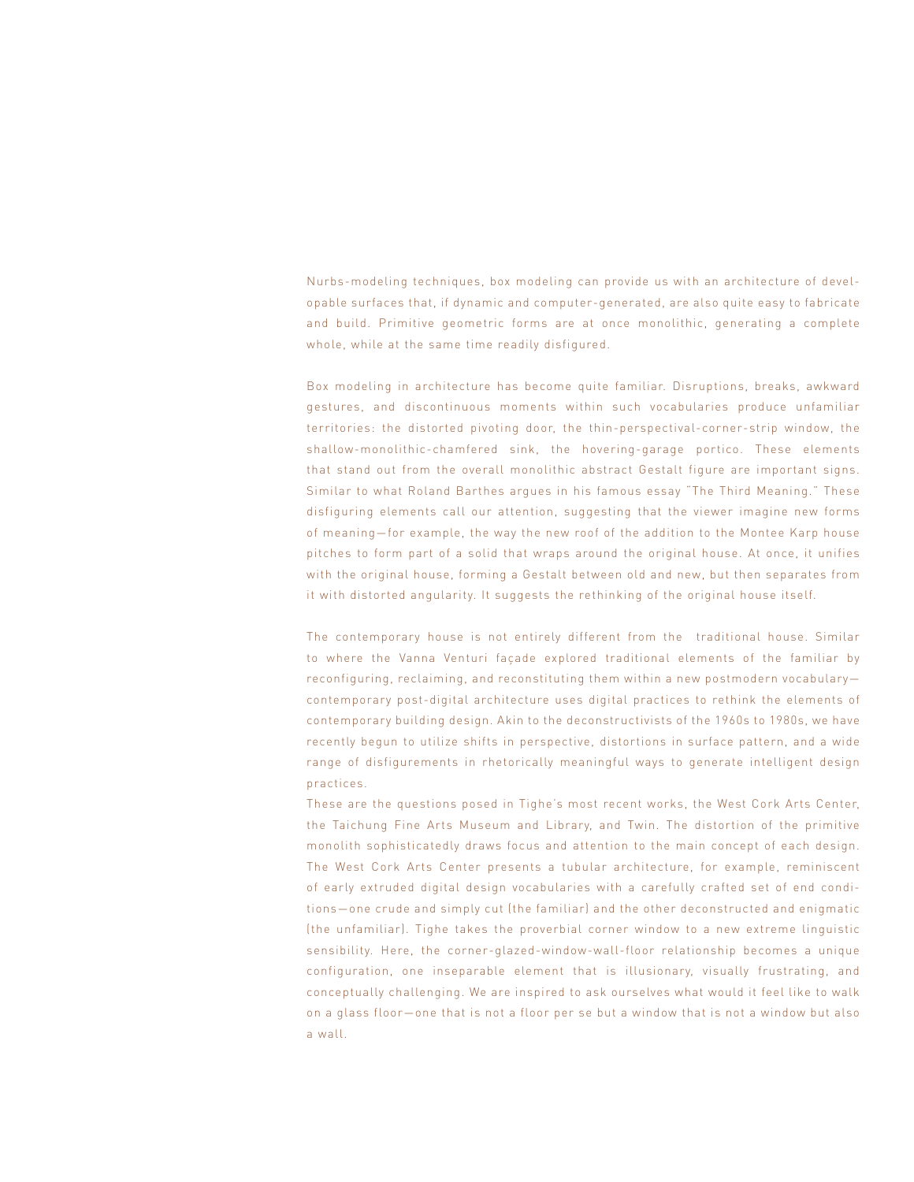Nurbs-modeling techniques, box modeling can provide us with an architecture of developable surfaces that, if dynamic and computer-generated, are also quite easy to fabricate and build. Primitive geometric forms are at once monolithic, generating a complete whole, while at the same time readily disfigured.

Box modeling in architecture has become quite familiar. Disruptions, breaks, awkward gestures, and discontinuous moments within such vocabularies produce unfamiliar territories: the distorted pivoting door, the thin-perspectival-corner-strip window, the shallow-monolithic-chamfered sink, the hovering-garage portico. These elements that stand out from the overall monolithic abstract Gestalt figure are important signs. Similar to what Roland Barthes argues in his famous essay "The Third Meaning." These disfiguring elements call our attention, suggesting that the viewer imagine new forms of meaning—for example, the way the new roof of the addition to the Montee Karp house pitches to form part of a solid that wraps around the original house. At once, it unifies with the original house, forming a Gestalt between old and new, but then separates from it with distorted angularity. It suggests the rethinking of the original house itself.

The contemporary house is not entirely different from the traditional house. Similar to where the Vanna Venturi façade explored traditional elements of the familiar by reconfiguring, reclaiming, and reconstituting them within a new postmodern vocabulary contemporary post-digital architecture uses digital practices to rethink the elements of contemporary building design. Akin to the deconstructivists of the 1960s to 1980s, we have recently begun to utilize shifts in perspective, distortions in surface pattern, and a wide range of disfigurements in rhetorically meaningful ways to generate intelligent design practices.

These are the questions posed in Tighe's most recent works, the West Cork Arts Center, the Taichung Fine Arts Museum and Library, and Twin. The distortion of the primitive monolith sophisticatedly draws focus and attention to the main concept of each design. The West Cork Arts Center presents a tubular architecture, for example, reminiscent of early extruded digital design vocabularies with a carefully crafted set of end conditions—one crude and simply cut (the familiar) and the other deconstructed and enigmatic (the unfamiliar). Tighe takes the proverbial corner window to a new extreme linguistic sensibility. Here, the corner-glazed-window-wall-floor relationship becomes a unique configuration, one inseparable element that is illusionary, visually frustrating, and conceptually challenging. We are inspired to ask ourselves what would it feel like to walk on a glass floor—one that is not a floor per se but a window that is not a window but also a wall.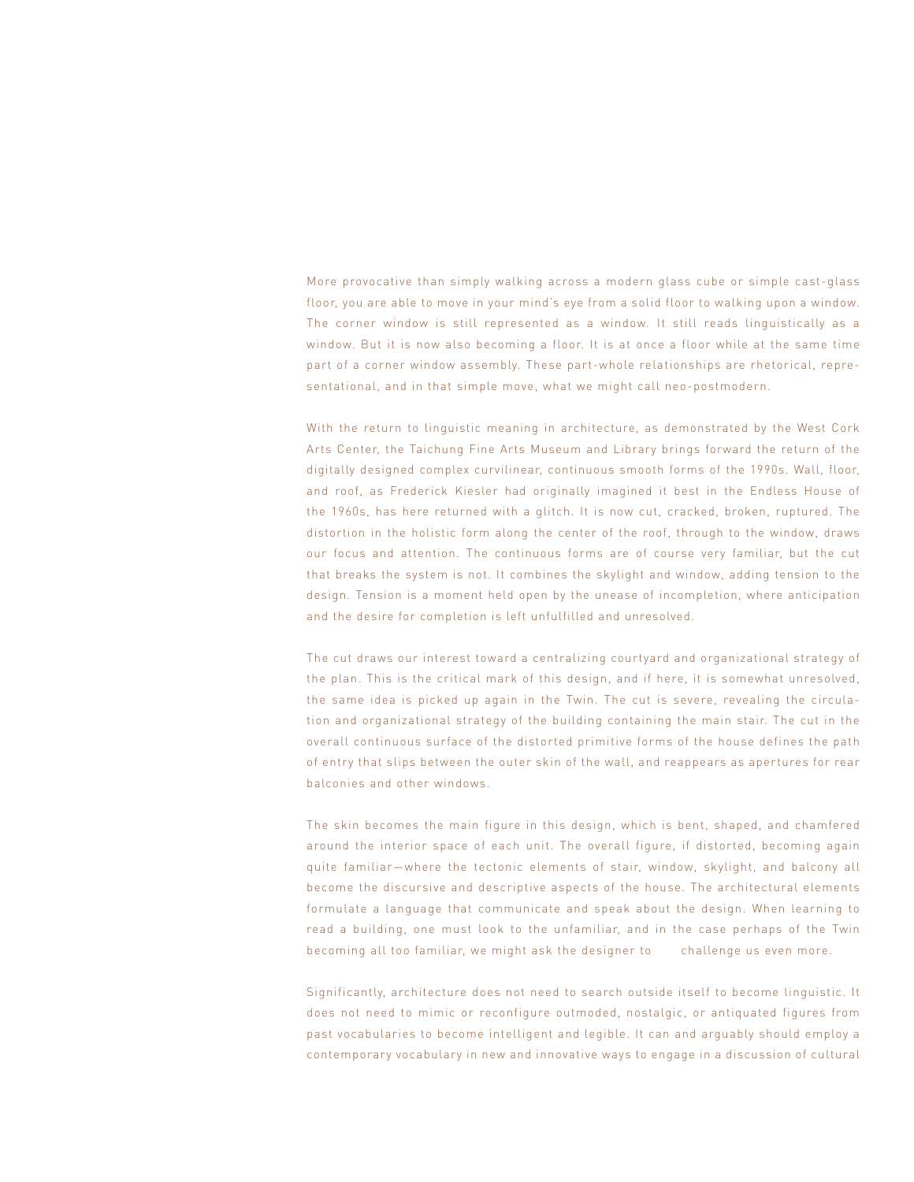More provocative than simply walking across a modern glass cube or simple cast-glass floor, you are able to move in your mind's eye from a solid floor to walking upon a window. The corner window is still represented as a window. It still reads linguistically as a window. But it is now also becoming a floor. It is at once a floor while at the same time part of a corner window assembly. These part-whole relationships are rhetorical, representational, and in that simple move, what we might call neo-postmodern.

With the return to linguistic meaning in architecture, as demonstrated by the West Cork Arts Center, the Taichung Fine Arts Museum and Library brings forward the return of the digitally designed complex curvilinear, continuous smooth forms of the 1990s. Wall, floor, and roof, as Frederick Kiesler had originally imagined it best in the Endless House of the 1960s, has here returned with a glitch. It is now cut, cracked, broken, ruptured. The distortion in the holistic form along the center of the roof, through to the window, draws our focus and attention. The continuous forms are of course very familiar, but the cut that breaks the system is not. It combines the skylight and window, adding tension to the design. Tension is a moment held open by the unease of incompletion, where anticipation and the desire for completion is left unfulfilled and unresolved.

The cut draws our interest toward a centralizing courtyard and organizational strategy of the plan. This is the critical mark of this design, and if here, it is somewhat unresolved, the same idea is picked up again in the Twin. The cut is severe, revealing the circulation and organizational strategy of the building containing the main stair. The cut in the overall continuous surface of the distorted primitive forms of the house defines the path of entry that slips between the outer skin of the wall, and reappears as apertures for rear balconies and other windows.

The skin becomes the main figure in this design, which is bent, shaped, and chamfered around the interior space of each unit. The overall figure, if distorted, becoming again quite familiar—where the tectonic elements of stair, window, skylight, and balcony all become the discursive and descriptive aspects of the house. The architectural elements formulate a language that communicate and speak about the design. When learning to read a building, one must look to the unfamiliar, and in the case perhaps of the Twin becoming all too familiar, we might ask the designer to challenge us even more.

Significantly, architecture does not need to search outside itself to become linguistic. It does not need to mimic or reconfigure outmoded, nostalgic, or antiquated figures from past vocabularies to become intelligent and legible. It can and arguably should employ a contemporary vocabulary in new and innovative ways to engage in a discussion of cultural